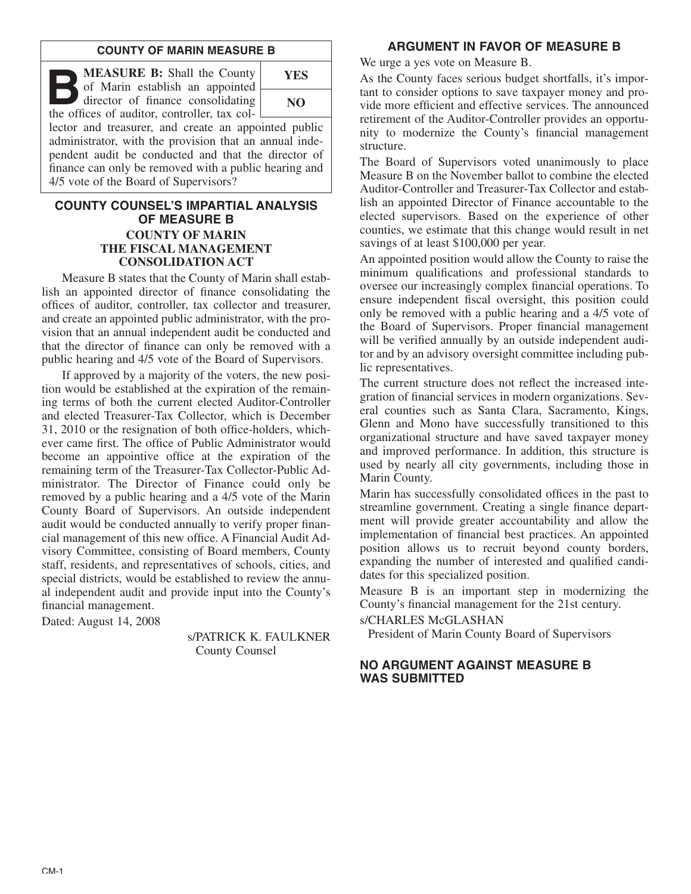#### **COUNTY OF MARIN MEASURE B**

**B:** Shall the County of Marin establish an appointed director of finance consolidating the offices of auditor controller tax colof Marin establish an appointed the offices of auditor, controller, tax col-



lector and treasurer, and create an appointed public administrator, with the provision that an annual independent audit be conducted and that the director of finance can only be removed with a public hearing and 4/5 vote of the Board of Supervisors?

## **COUNTY COUNSEL'S IMPARTIAL ANALYSIS OF MEASURE B COUNTY OF MARIN THE FISCAL MANAGEMENT CONSOLIDATION ACT**

Measure B states that the County of Marin shall establish an appointed director of finance consolidating the offices of auditor, controller, tax collector and treasurer, and create an appointed public administrator, with the provision that an annual independent audit be conducted and that the director of finance can only be removed with a public hearing and 4/5 vote of the Board of Supervisors.

If approved by a majority of the voters, the new position would be established at the expiration of the remaining terms of both the current elected Auditor-Controller and elected Treasurer-Tax Collector, which is December 31, 2010 or the resignation of both office-holders, whichever came first. The office of Public Administrator would become an appointive office at the expiration of the remaining term of the Treasurer-Tax Collector-Public Administrator. The Director of Finance could only be removed by a public hearing and a 4/5 vote of the Marin County Board of Supervisors. An outside independent audit would be conducted annually to verify proper financial management of this new office. A Financial Audit Advisory Committee, consisting of Board members, County staff, residents, and representatives of schools, cities, and special districts, would be established to review the annual independent audit and provide input into the County's financial management.

Dated: August 14, 2008

s/PATRICK K. FAULKNER County Counsel

# **ARGUMENT IN FAVOR OF MEASURE B**

We urge a yes vote on Measure B.

As the County faces serious budget shortfalls, it's important to consider options to save taxpayer money and provide more efficient and effective services. The announced retirement of the Auditor-Controller provides an opportunity to modernize the County's financial management structure.

The Board of Supervisors voted unanimously to place Measure B on the November ballot to combine the elected Auditor-Controller and Treasurer-Tax Collector and establish an appointed Director of Finance accountable to the elected supervisors. Based on the experience of other counties, we estimate that this change would result in net savings of at least \$100,000 per year.

An appointed position would allow the County to raise the minimum qualifications and professional standards to oversee our increasingly complex financial operations. To ensure independent fiscal oversight, this position could only be removed with a public hearing and a 4/5 vote of the Board of Supervisors. Proper financial management will be verified annually by an outside independent auditor and by an advisory oversight committee including public representatives.

The current structure does not reflect the increased integration of financial services in modern organizations. Several counties such as Santa Clara, Sacramento, Kings, Glenn and Mono have successfully transitioned to this organizational structure and have saved taxpayer money and improved performance. In addition, this structure is used by nearly all city governments, including those in Marin County.

Marin has successfully consolidated offices in the past to streamline government. Creating a single finance department will provide greater accountability and allow the implementation of financial best practices. An appointed position allows us to recruit beyond county borders, expanding the number of interested and qualified candidates for this specialized position.

Measure B is an important step in modernizing the County's financial management for the 21st century.

s/CHARLES McGLASHAN

President of Marin County Board of Supervisors

## **NO ARGUMENT AGAINST MEASURE B WAS SUBMITTED**